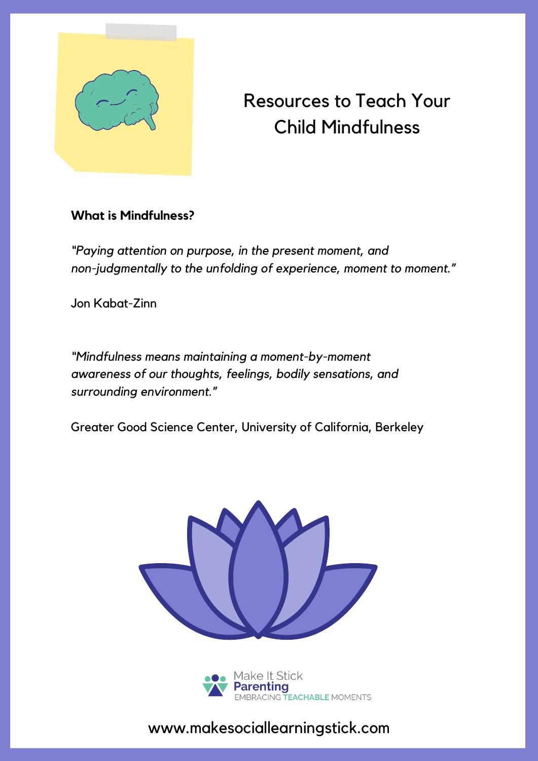

# Resources to Teach Your Child Mindfulness

#### **What is Mindfulness?**

*"Paying attention on purpose, in the present moment, and non-judgmentally to the unfolding of experience, moment to moment."*

Jon Kabat-Zinn

*"Mindfulness means maintaining a moment-by-moment awareness of our thoughts, feelings, bodily sensations, and surrounding environment."*

Greater Good Science Center, University of California, Berkeley





www.makesociallearningstick.com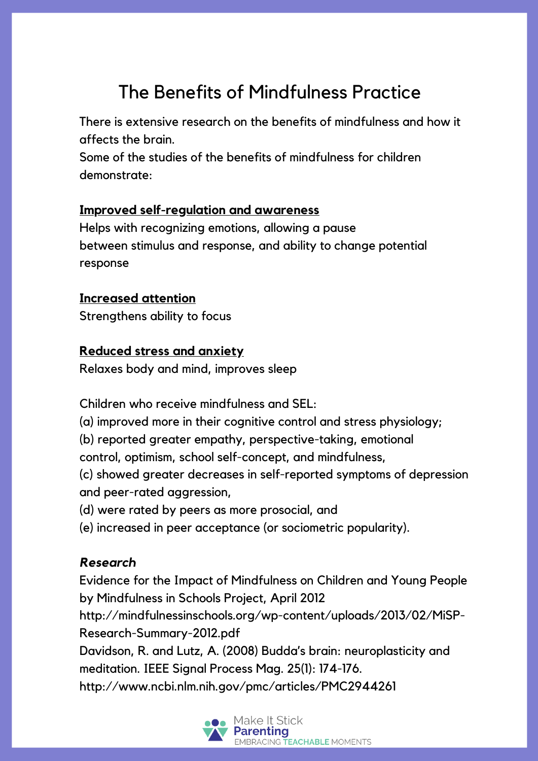# The Benefits of Mindfulness Practice

There is extensive research on the benefits of mindfulness and how it affects the brain.

Some of the studies of the benefits of mindfulness for children demonstrate:

### **Improved self-regulation and awareness**

Helps with recognizing emotions, allowing a pause between stimulus and response, and ability to change potential response

### **Increased attention**

Strengthens ability to focus

### **Reduced stress and anxiety**

Relaxes body and mind, improves sleep

Children who receive mindfulness and SEL:

(a) improved more in their cognitive control and stress physiology;

(b) reported greater empathy, perspective-taking, emotional

control, optimism, school self-concept, and mindfulness,

(c) showed greater decreases in self-reported symptoms of depression and peer-rated aggression,

- (d) were rated by peers as more prosocial, and
- (e) increased in peer acceptance (or sociometric popularity).

### *Research*

Evidence for the Impact of Mindfulness on Children and Young People by Mindfulness in Schools Project, April 2012 http://mindfulnessinschools.org/wp-content/uploads/2013/02/MiSP-Research-Summary-2012.pdf Davidson, R. and Lutz, A. (2008) Budda's brain: neuroplasticity and meditation. IEEE Signal Process Mag. 25(1): 174-176. http://www.ncbi.nlm.nih.gov/pmc/articles/PMC2944261

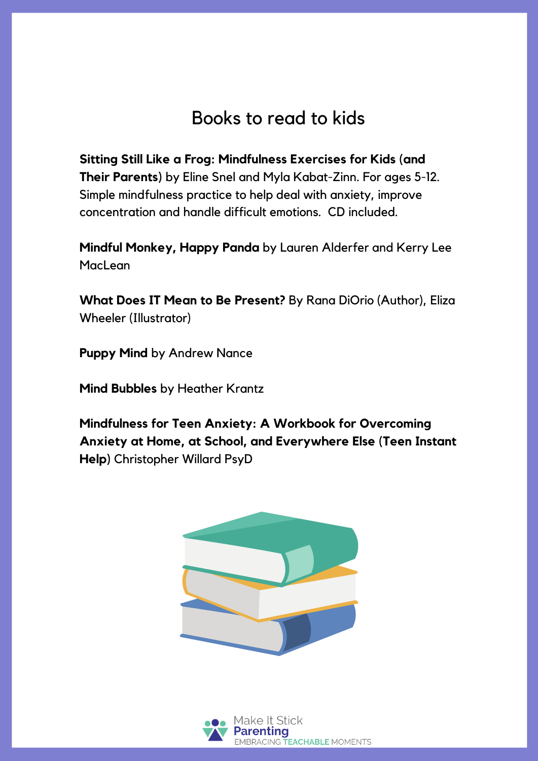## Books to read to kids

**Sitting Still Like a Frog: Mindfulness Exercises for Kids (and Their Parents)** by Eline Snel and Myla Kabat-Zinn. For ages 5-12. Simple mindfulness practice to help deal with anxiety, improve concentration and handle difficult emotions. CD included.

**Mindful Monkey, Happy Panda** by Lauren Alderfer and Kerry Lee **MacLean** 

**What Does IT Mean to Be Present?** By Rana DiOrio (Author), Eliza Wheeler (Illustrator)

**Puppy Mind** by Andrew Nance

**Mind Bubbles** by Heather Krantz

**Mindfulness for Teen Anxiety: A Workbook for Overcoming Anxiety at Home, at School, and Everywhere Else (Teen Instant Help)** Christopher Willard PsyD



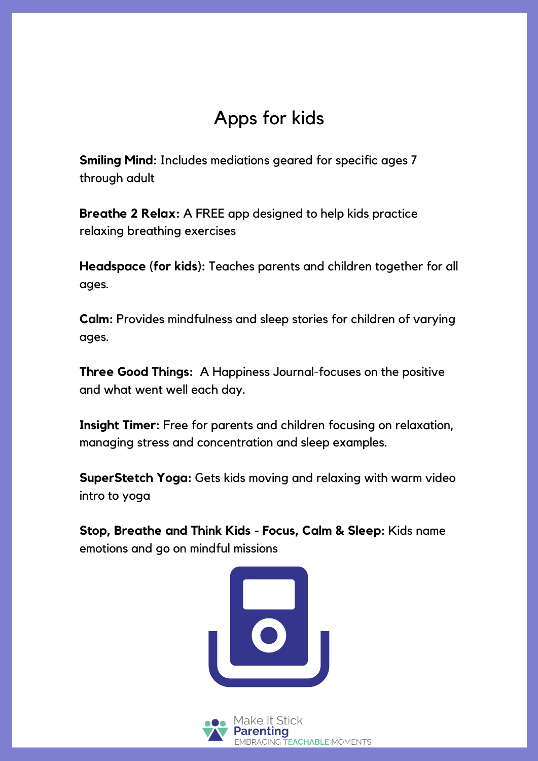## Apps for kids

**Smiling Mind:** Includes mediations geared for specific ages 7 through adult

**Breathe 2 Relax:** A FREE app designed to help kids practice relaxing breathing exercises

**Headspace (for kids):** Teaches parents and children together for all ages.

**Calm:** Provides mindfulness and sleep stories for children of varying ages.

**Three Good Things:** A Happiness Journal-focuses on the positive and what went well each day.

**Insight Timer:** Free for parents and children focusing on relaxation, managing stress and concentration and sleep examples.

**SuperStetch Yoga:** Gets kids moving and relaxing with warm video intro to yoga

**Stop, Breathe and Think Kids - Focus, Calm & Sleep:** Kids name emotions and go on mindful missions